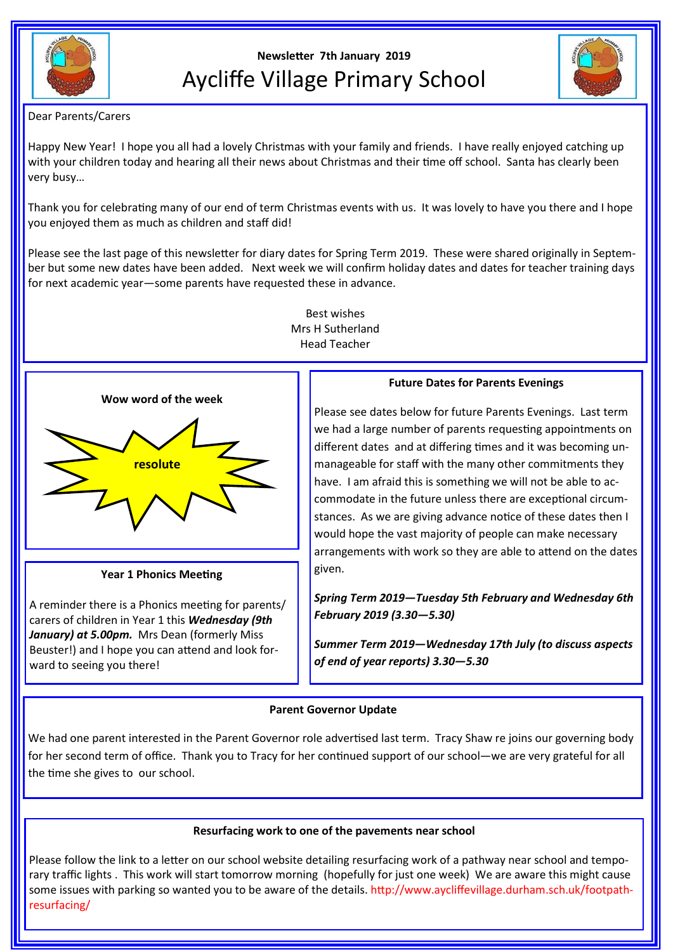

# **Newsletter 7th January 2019** Aycliffe Village Primary School



Dear Parents/Carers

Happy New Year! I hope you all had a lovely Christmas with your family and friends. I have really enjoyed catching up with your children today and hearing all their news about Christmas and their time off school. Santa has clearly been very busy…

Thank you for celebrating many of our end of term Christmas events with us. It was lovely to have you there and I hope you enjoyed them as much as children and staff did!

Please see the last page of this newsletter for diary dates for Spring Term 2019. These were shared originally in September but some new dates have been added. Next week we will confirm holiday dates and dates for teacher training days for next academic year—some parents have requested these in advance.



**Year 1 Phonics Meeting**

A reminder there is a Phonics meeting for parents/ carers of children in Year 1 this *Wednesday (9th*  January) at 5.00pm. Mrs Dean (formerly Miss Beuster!) and I hope you can attend and look forward to seeing you there!

## Best wishes Mrs H Sutherland Head Teacher

### **Future Dates for Parents Evenings**

Please see dates below for future Parents Evenings. Last term we had a large number of parents requesting appointments on different dates and at differing times and it was becoming unmanageable for staff with the many other commitments they have. I am afraid this is something we will not be able to accommodate in the future unless there are exceptional circumstances. As we are giving advance notice of these dates then I would hope the vast majority of people can make necessary arrangements with work so they are able to attend on the dates given.

*Spring Term 2019—Tuesday 5th February and Wednesday 6th February 2019 (3.30—5.30)*

*Summer Term 2019—Wednesday 17th July (to discuss aspects of end of year reports) 3.30—5.30*

## **Parent Governor Update**

We had one parent interested in the Parent Governor role advertised last term. Tracy Shaw re joins our governing body for her second term of office. Thank you to Tracy for her continued support of our school—we are very grateful for all the time she gives to our school.

## **Resurfacing work to one of the pavements near school**

Please follow the link to a letter on our school website detailing resurfacing work of a pathway near school and temporary traffic lights . This work will start tomorrow morning (hopefully for just one week) We are aware this might cause some issues with parking so wanted you to be aware of the details. http://www.aycliffevillage.durham.sch.uk/footpathresurfacing/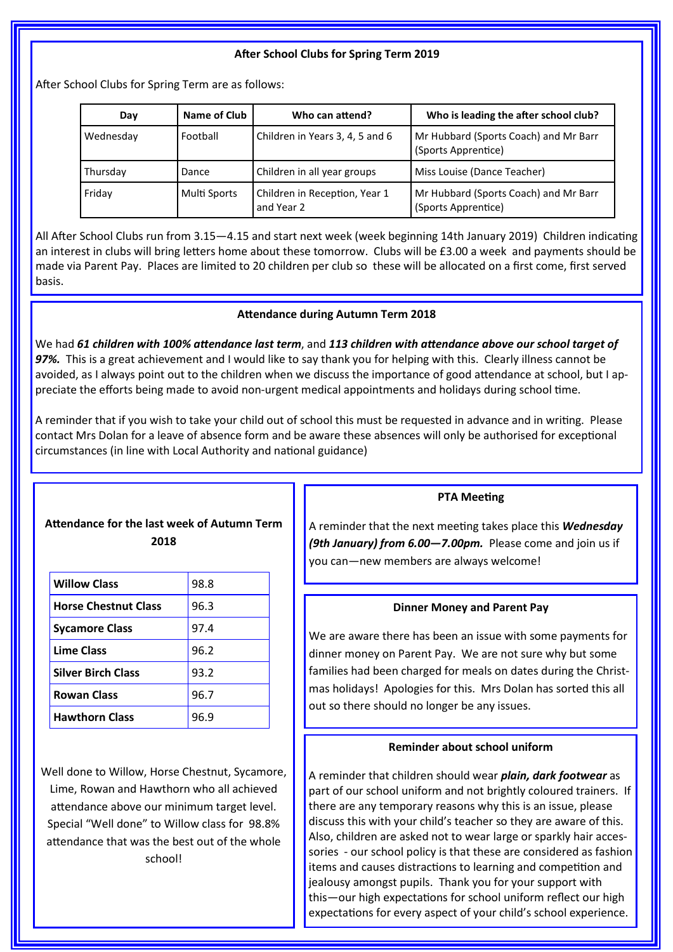## **After School Clubs for Spring Term 2019**

After School Clubs for Spring Term are as follows:

| Day       | Name of Club | Who can attend?                             | Who is leading the after school club?                        |
|-----------|--------------|---------------------------------------------|--------------------------------------------------------------|
| Wednesday | Football     | Children in Years 3, 4, 5 and 6             | Mr Hubbard (Sports Coach) and Mr Barr<br>(Sports Apprentice) |
| Thursday  | Dance        | Children in all year groups                 | Miss Louise (Dance Teacher)                                  |
| Friday    | Multi Sports | Children in Reception, Year 1<br>and Year 2 | Mr Hubbard (Sports Coach) and Mr Barr<br>(Sports Apprentice) |

All After School Clubs run from 3.15—4.15 and start next week (week beginning 14th January 2019) Children indicating an interest in clubs will bring letters home about these tomorrow. Clubs will be £3.00 a week and payments should be made via Parent Pay. Places are limited to 20 children per club so these will be allocated on a first come, first served basis.

#### **Attendance during Autumn Term 2018**

We had *61 children with 100% attendance last term*, and *113 children with attendance above our school target of 97%.* This is a great achievement and I would like to say thank you for helping with this. Clearly illness cannot be avoided, as I always point out to the children when we discuss the importance of good attendance at school, but I appreciate the efforts being made to avoid non-urgent medical appointments and holidays during school time.

A reminder that if you wish to take your child out of school this must be requested in advance and in writing. Please contact Mrs Dolan for a leave of absence form and be aware these absences will only be authorised for exceptional circumstances (in line with Local Authority and national guidance)

## **Attendance for the last week of Autumn Term 2018**

| <b>Willow Class</b>         | 98.8 |
|-----------------------------|------|
| <b>Horse Chestnut Class</b> | 96.3 |
| <b>Sycamore Class</b>       | 97.4 |
| <b>Lime Class</b>           | 96.2 |
| <b>Silver Birch Class</b>   | 93.2 |
| <b>Rowan Class</b>          | 96.7 |
| <b>Hawthorn Class</b>       | 96.9 |

Well done to Willow, Horse Chestnut, Sycamore, Lime, Rowan and Hawthorn who all achieved attendance above our minimum target level. Special "Well done" to Willow class for 98.8% attendance that was the best out of the whole school!

#### **PTA Meeting**

A reminder that the next meeting takes place this *Wednesday (9th January) from 6.00—7.00pm.* Please come and join us if you can—new members are always welcome!

#### **Dinner Money and Parent Pay**

We are aware there has been an issue with some payments for dinner money on Parent Pay. We are not sure why but some families had been charged for meals on dates during the Christmas holidays! Apologies for this. Mrs Dolan has sorted this all out so there should no longer be any issues.

#### **Reminder about school uniform**

A reminder that children should wear *plain, dark footwear* as part of our school uniform and not brightly coloured trainers. If there are any temporary reasons why this is an issue, please discuss this with your child's teacher so they are aware of this. Also, children are asked not to wear large or sparkly hair accessories - our school policy is that these are considered as fashion items and causes distractions to learning and competition and jealousy amongst pupils. Thank you for your support with this—our high expectations for school uniform reflect our high expectations for every aspect of your child's school experience.